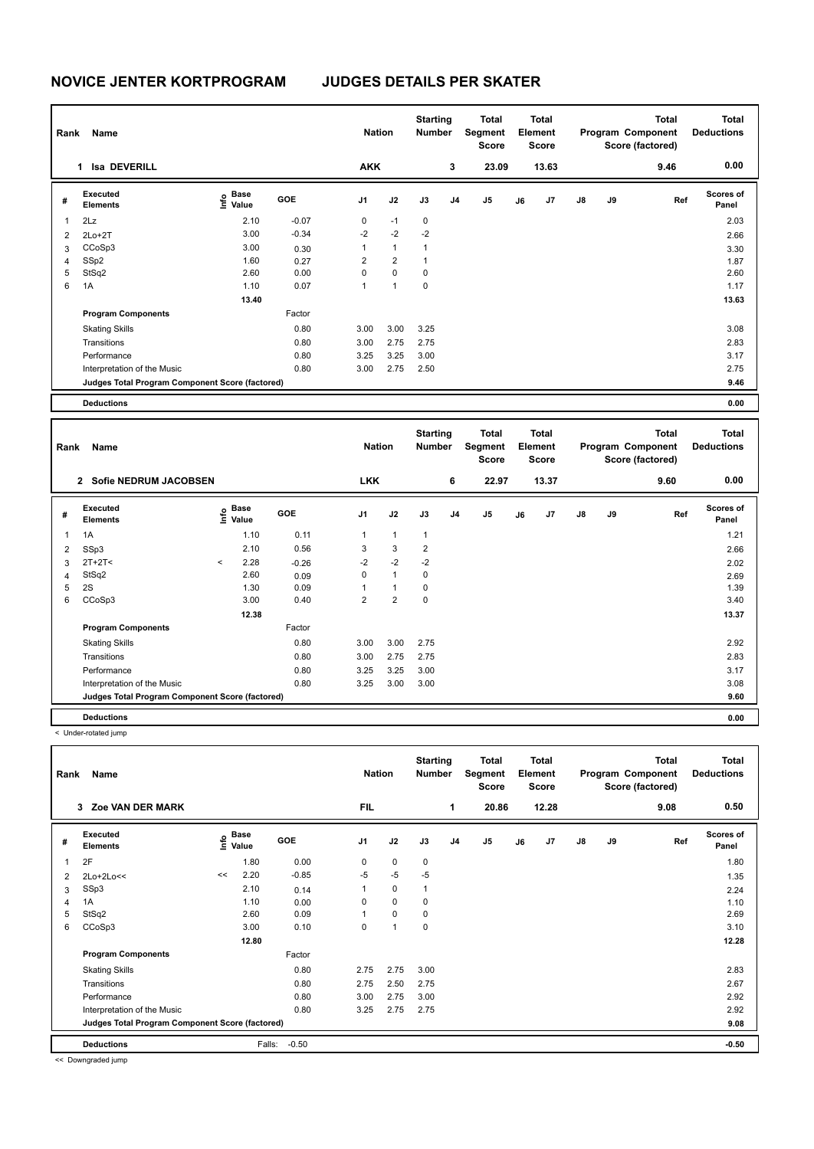| Rank | Name                                            |                                    | <b>Nation</b> |                | <b>Starting</b><br><b>Number</b> | Total<br>Segment<br><b>Score</b> | <b>Total</b><br>Element<br><b>Score</b> |                |    | <b>Total</b><br>Program Component<br>Score (factored) |               | <b>Total</b><br><b>Deductions</b> |      |                           |
|------|-------------------------------------------------|------------------------------------|---------------|----------------|----------------------------------|----------------------------------|-----------------------------------------|----------------|----|-------------------------------------------------------|---------------|-----------------------------------|------|---------------------------|
|      | <b>Isa DEVERILL</b><br>1                        |                                    |               | <b>AKK</b>     |                                  |                                  | 3                                       | 23.09          |    | 13.63                                                 |               |                                   | 9.46 | 0.00                      |
| #    | Executed<br><b>Elements</b>                     | <b>Base</b><br>$\frac{6}{5}$ Value | <b>GOE</b>    | J <sub>1</sub> | J2                               | J3                               | J <sub>4</sub>                          | J <sub>5</sub> | J6 | J <sub>7</sub>                                        | $\mathsf{J}8$ | J9                                | Ref  | <b>Scores of</b><br>Panel |
| 1    | 2Lz                                             | 2.10                               | $-0.07$       | 0              | $-1$                             | 0                                |                                         |                |    |                                                       |               |                                   |      | 2.03                      |
| 2    | $2Lo+2T$                                        | 3.00                               | $-0.34$       | $-2$           | $-2$                             | $-2$                             |                                         |                |    |                                                       |               |                                   |      | 2.66                      |
| 3    | CCoSp3                                          | 3.00                               | 0.30          | 1              | $\mathbf{1}$                     | 1                                |                                         |                |    |                                                       |               |                                   |      | 3.30                      |
| 4    | SSp2                                            | 1.60                               | 0.27          | $\overline{2}$ | $\overline{2}$                   | 1                                |                                         |                |    |                                                       |               |                                   |      | 1.87                      |
| 5    | StSq2                                           | 2.60                               | 0.00          | 0              | $\mathbf 0$                      | 0                                |                                         |                |    |                                                       |               |                                   |      | 2.60                      |
| 6    | 1A                                              | 1.10                               | 0.07          | 1              | 1                                | $\mathbf 0$                      |                                         |                |    |                                                       |               |                                   |      | 1.17                      |
|      |                                                 | 13.40                              |               |                |                                  |                                  |                                         |                |    |                                                       |               |                                   |      | 13.63                     |
|      | <b>Program Components</b>                       |                                    | Factor        |                |                                  |                                  |                                         |                |    |                                                       |               |                                   |      |                           |
|      | <b>Skating Skills</b>                           |                                    | 0.80          | 3.00           | 3.00                             | 3.25                             |                                         |                |    |                                                       |               |                                   |      | 3.08                      |
|      | Transitions                                     |                                    | 0.80          | 3.00           | 2.75                             | 2.75                             |                                         |                |    |                                                       |               |                                   |      | 2.83                      |
|      | Performance                                     |                                    | 0.80          | 3.25           | 3.25                             | 3.00                             |                                         |                |    |                                                       |               |                                   |      | 3.17                      |
|      | Interpretation of the Music                     |                                    | 0.80          | 3.00           | 2.75                             | 2.50                             |                                         |                |    |                                                       |               |                                   |      | 2.75                      |
|      | Judges Total Program Component Score (factored) |                                    |               |                |                                  |                                  |                                         |                |    |                                                       |               |                                   |      | 9.46                      |
|      | <b>Deductions</b>                               |                                    |               |                |                                  |                                  |                                         |                |    |                                                       |               |                                   |      | 0.00                      |

**Total Deductions Total Program Component Score (factored) Total Element Segment Score Total Score Starting Rank Name Number Number Number Number Number # Executed Elements Base Value GOE J1 J2 J3 J4 J5 J6 J7 J8 J9 Scores of Panel** 1 1A 1.10 0.11 1 1 1 **Ref**  1A 1.21 **Info 2 Sofie NEDRUM JACOBSEN LKK 6 22.97 13.37 9.60 0.00** 2 SSp3 2.10 0.56 3 3 2 2.66  $3 \quad 2T+2T <$   $2.02$   $3.28$   $-0.26$   $-2$   $-2$   $-2$ 4 StSq2 2.60 0.09 0 1 0 2.69 2.69 2.69 5 2S 1.39 0.09 1 1 0 6 CCoSp3 3.00 0.40 2 2 0 3.40  **12.38** 13.37 **Program Components**  Skating Skills 3.00 3.00 2.75 Factor 0.80 2.92 Transitions 0.80 3.00 2.75 2.75 2.83 Performance 200 3.17 3.17 3.17 3.25 3.25 3.25 3.00 Interpretation of the Music **0.80** 3.25 3.00 3.00 3.00 3.00 3.08 3.08 3.08 **Deductions 0.00 Judges Total Program Component Score (factored) 9.60**

< Under-rotated jump

| Name<br>Rank |                                                 |    |                                    |         |                | <b>Nation</b>  |      |                | <b>Total</b><br>Segment<br><b>Score</b> | <b>Total</b><br>Element<br>Score |       |               |    | Total<br>Program Component<br>Score (factored) | <b>Total</b><br><b>Deductions</b> |  |
|--------------|-------------------------------------------------|----|------------------------------------|---------|----------------|----------------|------|----------------|-----------------------------------------|----------------------------------|-------|---------------|----|------------------------------------------------|-----------------------------------|--|
|              | <b>Zoe VAN DER MARK</b><br>3                    |    |                                    |         | <b>FIL</b>     |                |      | 1              | 20.86                                   |                                  | 12.28 |               |    | 9.08                                           | 0.50                              |  |
| #            | <b>Executed</b><br><b>Elements</b>              |    | <b>Base</b><br>$\frac{6}{5}$ Value | GOE     | J <sub>1</sub> | J2             | J3   | J <sub>4</sub> | J5                                      | J6                               | J7    | $\mathsf{J}8$ | J9 | Ref                                            | <b>Scores of</b><br>Panel         |  |
|              | 2F                                              |    | 1.80                               | 0.00    | 0              | 0              | 0    |                |                                         |                                  |       |               |    |                                                | 1.80                              |  |
| 2            | 2Lo+2Lo<<                                       | << | 2.20                               | $-0.85$ | $-5$           | $-5$           | $-5$ |                |                                         |                                  |       |               |    |                                                | 1.35                              |  |
| 3            | SSp3                                            |    | 2.10                               | 0.14    |                | $\mathbf 0$    | 1    |                |                                         |                                  |       |               |    |                                                | 2.24                              |  |
| 4            | 1A                                              |    | 1.10                               | 0.00    | 0              | 0              | 0    |                |                                         |                                  |       |               |    |                                                | 1.10                              |  |
| 5            | StSq2                                           |    | 2.60                               | 0.09    | 1              | 0              | 0    |                |                                         |                                  |       |               |    |                                                | 2.69                              |  |
| 6            | CCoSp3                                          |    | 3.00                               | 0.10    | 0              | $\overline{1}$ | 0    |                |                                         |                                  |       |               |    |                                                | 3.10                              |  |
|              |                                                 |    | 12.80                              |         |                |                |      |                |                                         |                                  |       |               |    |                                                | 12.28                             |  |
|              | <b>Program Components</b>                       |    |                                    | Factor  |                |                |      |                |                                         |                                  |       |               |    |                                                |                                   |  |
|              | <b>Skating Skills</b>                           |    |                                    | 0.80    | 2.75           | 2.75           | 3.00 |                |                                         |                                  |       |               |    |                                                | 2.83                              |  |
|              | Transitions                                     |    |                                    | 0.80    | 2.75           | 2.50           | 2.75 |                |                                         |                                  |       |               |    |                                                | 2.67                              |  |
|              | Performance                                     |    |                                    | 0.80    | 3.00           | 2.75           | 3.00 |                |                                         |                                  |       |               |    |                                                | 2.92                              |  |
|              | Interpretation of the Music                     |    |                                    | 0.80    | 3.25           | 2.75           | 2.75 |                |                                         |                                  |       |               |    |                                                | 2.92                              |  |
|              | Judges Total Program Component Score (factored) |    |                                    |         |                |                |      |                |                                         |                                  |       |               |    |                                                | 9.08                              |  |
|              | <b>Deductions</b>                               |    | Falls:                             | $-0.50$ |                |                |      |                |                                         |                                  |       |               |    |                                                | $-0.50$                           |  |

<< Downgraded jump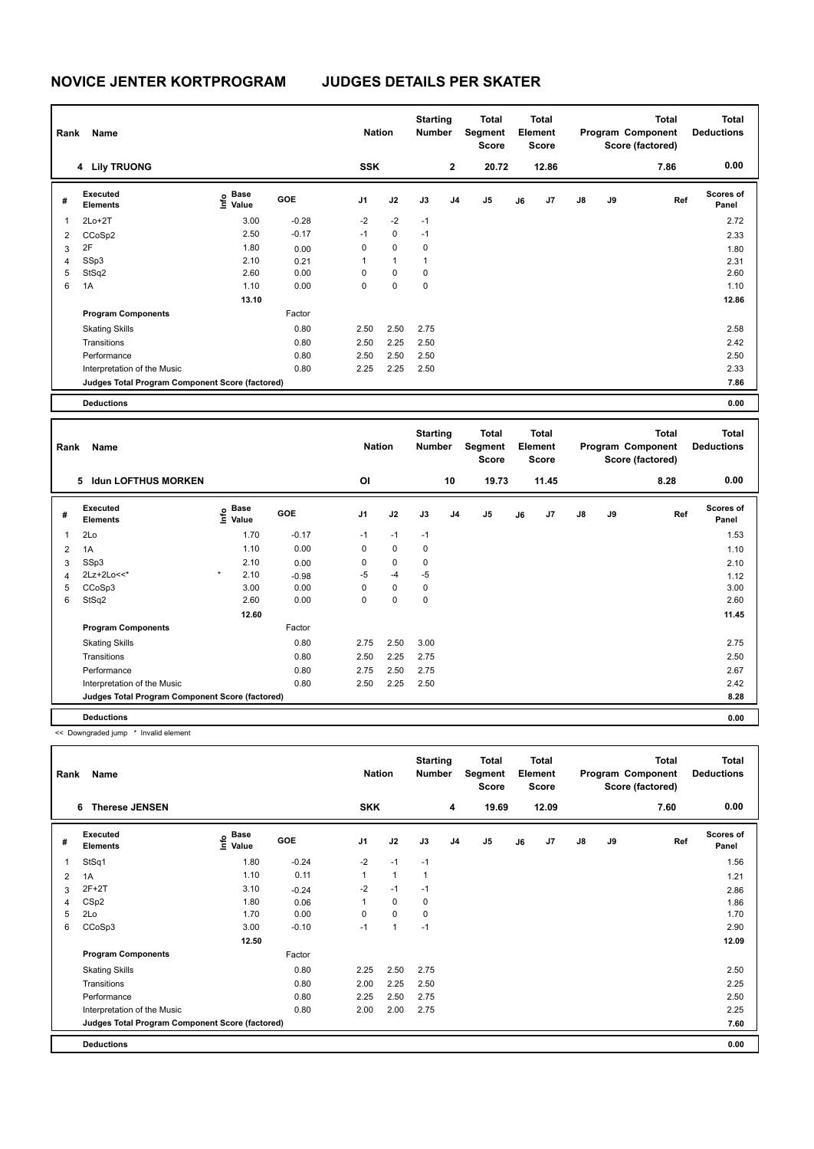| Rank | Name                                            |                                    |         | <b>Nation</b>  |              | <b>Starting</b><br><b>Number</b> |                | Total<br>Segment<br><b>Score</b> |    | <b>Total</b><br>Element<br><b>Score</b> |               |    | <b>Total</b><br>Program Component<br>Score (factored) | Total<br><b>Deductions</b> |
|------|-------------------------------------------------|------------------------------------|---------|----------------|--------------|----------------------------------|----------------|----------------------------------|----|-----------------------------------------|---------------|----|-------------------------------------------------------|----------------------------|
|      | 4 Lily TRUONG                                   |                                    |         | <b>SSK</b>     |              |                                  | $\mathbf{2}$   | 20.72                            |    | 12.86                                   |               |    | 7.86                                                  | 0.00                       |
| #    | Executed<br><b>Elements</b>                     | <b>Base</b><br>$\frac{6}{5}$ Value | GOE     | J <sub>1</sub> | J2           | J3                               | J <sub>4</sub> | J <sub>5</sub>                   | J6 | J7                                      | $\mathsf{J}8$ | J9 | Ref                                                   | <b>Scores of</b><br>Panel  |
| 1    | $2Lo+2T$                                        | 3.00                               | $-0.28$ | $-2$           | $-2$         | $-1$                             |                |                                  |    |                                         |               |    |                                                       | 2.72                       |
| 2    | CCoSp2                                          | 2.50                               | $-0.17$ | $-1$           | 0            | $-1$                             |                |                                  |    |                                         |               |    |                                                       | 2.33                       |
| 3    | 2F                                              | 1.80                               | 0.00    | 0              | 0            | 0                                |                |                                  |    |                                         |               |    |                                                       | 1.80                       |
| 4    | SSp3                                            | 2.10                               | 0.21    | 1              | $\mathbf{1}$ | 1                                |                |                                  |    |                                         |               |    |                                                       | 2.31                       |
| 5    | StSq2                                           | 2.60                               | 0.00    | 0              | 0            | 0                                |                |                                  |    |                                         |               |    |                                                       | 2.60                       |
| 6    | 1A                                              | 1.10                               | 0.00    | 0              | $\mathbf 0$  | 0                                |                |                                  |    |                                         |               |    |                                                       | 1.10                       |
|      |                                                 | 13.10                              |         |                |              |                                  |                |                                  |    |                                         |               |    |                                                       | 12.86                      |
|      | <b>Program Components</b>                       |                                    | Factor  |                |              |                                  |                |                                  |    |                                         |               |    |                                                       |                            |
|      | <b>Skating Skills</b>                           |                                    | 0.80    | 2.50           | 2.50         | 2.75                             |                |                                  |    |                                         |               |    |                                                       | 2.58                       |
|      | Transitions                                     |                                    | 0.80    | 2.50           | 2.25         | 2.50                             |                |                                  |    |                                         |               |    |                                                       | 2.42                       |
|      | Performance                                     |                                    | 0.80    | 2.50           | 2.50         | 2.50                             |                |                                  |    |                                         |               |    |                                                       | 2.50                       |
|      | Interpretation of the Music                     |                                    | 0.80    | 2.25           | 2.25         | 2.50                             |                |                                  |    |                                         |               |    |                                                       | 2.33                       |
|      | Judges Total Program Component Score (factored) |                                    |         |                |              |                                  |                |                                  |    |                                         |               |    |                                                       | 7.86                       |
|      | <b>Deductions</b>                               |                                    |         |                |              |                                  |                |                                  |    |                                         |               |    |                                                       | 0.00                       |

**Total Deductions Total Program Component Score (factored) Total Element Segment Score Total Score Starting Rank Name Number Number Number Number Number # Executed Elements Base Value GOE J1 J2 J3 J4 J5 J6 J7 J8 J9 Scores of Panel** 1 1.70 -0.17 -1 -1 -1 **Ref**  المساحة المساحة المساحة المساحة المساحة المساحة المساحة المساحة المساحة المساحة المساحة المساحة المساحة المساح<br>2Lo 1.53 1.70 -0.17 -1 -1 -1<br>2Lo 1.53  **5 Idun LOFTHUS MORKEN OI 10 19.73 11.45 8.28 0.00** 2 1A 1.10 0.00 0 0 0 1.10 1.10 3 SSp3 2.10 0.00 0 0 0 2.10 4 2Lz+2Lo<<\* \* 2.10 -0.98 -5 -4 -5 1.12 5 CCoSp3 3.00 0.00 0 0 0 3.00 6 StSq2 2.60 0.00 0 0 0 2.60  **12.60 11.45 Program Components**  Skating Skills 2.75 2.50 3.00 0.80 2.75 Factor Transitions 0.80 2.50 2.25 2.75 2.50 Performance 0.80 2.75 2.50 2.75 2.67 Interpretation of the Music 0.80 2.50 2.25 2.50 2.42 **Deductions 0.00 Judges Total Program Component Score (factored) 8.28**

<< Downgraded jump \* Invalid element

| Rank | Name                                            |                                           |            | <b>Nation</b>  |              | <b>Starting</b><br><b>Number</b> |                | <b>Total</b><br>Segment<br><b>Score</b> |    | <b>Total</b><br>Element<br><b>Score</b> |               |    | <b>Total</b><br>Program Component<br>Score (factored) | <b>Total</b><br><b>Deductions</b> |
|------|-------------------------------------------------|-------------------------------------------|------------|----------------|--------------|----------------------------------|----------------|-----------------------------------------|----|-----------------------------------------|---------------|----|-------------------------------------------------------|-----------------------------------|
|      | <b>Therese JENSEN</b><br>6                      |                                           |            | <b>SKK</b>     |              |                                  | 4              | 19.69                                   |    | 12.09                                   |               |    | 7.60                                                  | 0.00                              |
| #    | <b>Executed</b><br><b>Elements</b>              | $\frac{6}{5}$ Base<br>$\frac{1}{5}$ Value | <b>GOE</b> | J <sub>1</sub> | J2           | J3                               | J <sub>4</sub> | J <sub>5</sub>                          | J6 | J7                                      | $\mathsf{J}8$ | J9 | Ref                                                   | <b>Scores of</b><br>Panel         |
| 1    | StSq1                                           | 1.80                                      | $-0.24$    | $-2$           | $-1$         | $-1$                             |                |                                         |    |                                         |               |    |                                                       | 1.56                              |
| 2    | 1A                                              | 1.10                                      | 0.11       | 1              | $\mathbf{1}$ | $\mathbf{1}$                     |                |                                         |    |                                         |               |    |                                                       | 1.21                              |
| 3    | $2F+2T$                                         | 3.10                                      | $-0.24$    | $-2$           | $-1$         | $-1$                             |                |                                         |    |                                         |               |    |                                                       | 2.86                              |
| 4    | CSp2                                            | 1.80                                      | 0.06       |                | $\mathbf 0$  | 0                                |                |                                         |    |                                         |               |    |                                                       | 1.86                              |
| 5    | 2Lo                                             | 1.70                                      | 0.00       | 0              | $\mathbf 0$  | 0                                |                |                                         |    |                                         |               |    |                                                       | 1.70                              |
| 6    | CCoSp3                                          | 3.00                                      | $-0.10$    | $-1$           | $\mathbf{1}$ | $-1$                             |                |                                         |    |                                         |               |    |                                                       | 2.90                              |
|      |                                                 | 12.50                                     |            |                |              |                                  |                |                                         |    |                                         |               |    |                                                       | 12.09                             |
|      | <b>Program Components</b>                       |                                           | Factor     |                |              |                                  |                |                                         |    |                                         |               |    |                                                       |                                   |
|      | <b>Skating Skills</b>                           |                                           | 0.80       | 2.25           | 2.50         | 2.75                             |                |                                         |    |                                         |               |    |                                                       | 2.50                              |
|      | Transitions                                     |                                           | 0.80       | 2.00           | 2.25         | 2.50                             |                |                                         |    |                                         |               |    |                                                       | 2.25                              |
|      | Performance                                     |                                           | 0.80       | 2.25           | 2.50         | 2.75                             |                |                                         |    |                                         |               |    |                                                       | 2.50                              |
|      | Interpretation of the Music                     |                                           | 0.80       | 2.00           | 2.00         | 2.75                             |                |                                         |    |                                         |               |    |                                                       | 2.25                              |
|      | Judges Total Program Component Score (factored) |                                           |            |                |              |                                  |                |                                         |    |                                         |               |    |                                                       | 7.60                              |
|      | <b>Deductions</b>                               |                                           |            |                |              |                                  |                |                                         |    |                                         |               |    |                                                       | 0.00                              |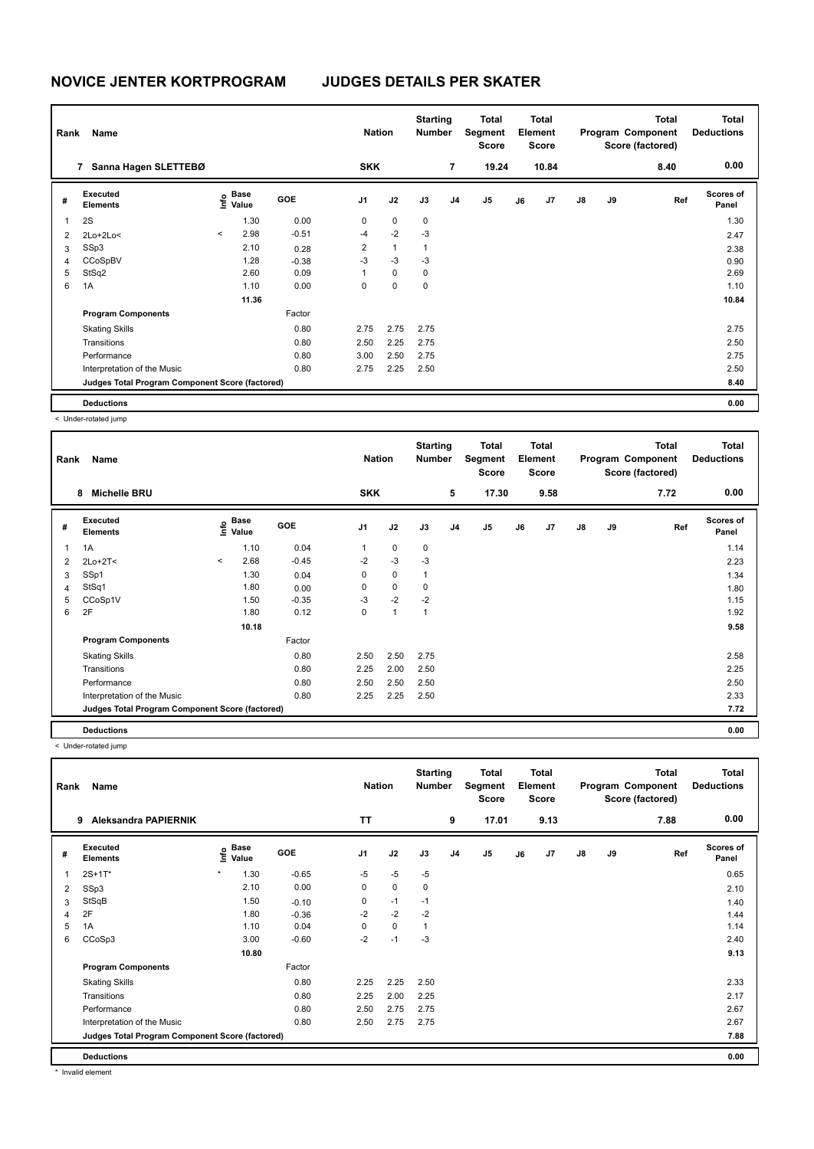| Rank | Name                                            |                          | <b>Nation</b>                               |            | <b>Starting</b><br><b>Number</b> | <b>Total</b><br>Segment<br><b>Score</b> | <b>Total</b><br>Element<br><b>Score</b> |                | Program Component |    | Total<br>Score (factored) | <b>Total</b><br><b>Deductions</b> |    |      |                           |
|------|-------------------------------------------------|--------------------------|---------------------------------------------|------------|----------------------------------|-----------------------------------------|-----------------------------------------|----------------|-------------------|----|---------------------------|-----------------------------------|----|------|---------------------------|
|      | Sanna Hagen SLETTEBØ<br>7                       |                          |                                             |            | <b>SKK</b>                       |                                         |                                         | 7              | 19.24             |    | 10.84                     |                                   |    | 8.40 | 0.00                      |
| #    | Executed<br><b>Elements</b>                     |                          | <b>Base</b><br>e <sup>Base</sup><br>⊆ Value | <b>GOE</b> | J1                               | J2                                      | J3                                      | J <sub>4</sub> | J <sub>5</sub>    | J6 | J <sub>7</sub>            | $\mathsf{J}8$                     | J9 | Ref  | <b>Scores of</b><br>Panel |
| 1    | 2S                                              |                          | 1.30                                        | 0.00       | 0                                | $\mathbf 0$                             | 0                                       |                |                   |    |                           |                                   |    |      | 1.30                      |
| 2    | 2Lo+2Lo<                                        | $\overline{\phantom{a}}$ | 2.98                                        | $-0.51$    | $-4$                             | $-2$                                    | $-3$                                    |                |                   |    |                           |                                   |    |      | 2.47                      |
| 3    | SSp3                                            |                          | 2.10                                        | 0.28       | $\overline{\mathbf{c}}$          | $\mathbf{1}$                            | $\mathbf{1}$                            |                |                   |    |                           |                                   |    |      | 2.38                      |
| 4    | CCoSpBV                                         |                          | 1.28                                        | $-0.38$    | $-3$                             | $-3$                                    | $-3$                                    |                |                   |    |                           |                                   |    |      | 0.90                      |
| 5    | StSq2                                           |                          | 2.60                                        | 0.09       |                                  | $\mathbf 0$                             | 0                                       |                |                   |    |                           |                                   |    |      | 2.69                      |
| 6    | 1A                                              |                          | 1.10                                        | 0.00       | 0                                | 0                                       | 0                                       |                |                   |    |                           |                                   |    |      | 1.10                      |
|      |                                                 |                          | 11.36                                       |            |                                  |                                         |                                         |                |                   |    |                           |                                   |    |      | 10.84                     |
|      | <b>Program Components</b>                       |                          |                                             | Factor     |                                  |                                         |                                         |                |                   |    |                           |                                   |    |      |                           |
|      | <b>Skating Skills</b>                           |                          |                                             | 0.80       | 2.75                             | 2.75                                    | 2.75                                    |                |                   |    |                           |                                   |    |      | 2.75                      |
|      | Transitions                                     |                          |                                             | 0.80       | 2.50                             | 2.25                                    | 2.75                                    |                |                   |    |                           |                                   |    |      | 2.50                      |
|      | Performance                                     |                          |                                             | 0.80       | 3.00                             | 2.50                                    | 2.75                                    |                |                   |    |                           |                                   |    |      | 2.75                      |
|      | Interpretation of the Music                     |                          |                                             | 0.80       | 2.75                             | 2.25                                    | 2.50                                    |                |                   |    |                           |                                   |    |      | 2.50                      |
|      | Judges Total Program Component Score (factored) |                          |                                             |            |                                  |                                         |                                         |                |                   |    |                           |                                   |    |      | 8.40                      |
|      | <b>Deductions</b>                               |                          |                                             |            |                                  |                                         |                                         |                |                   |    |                           |                                   |    |      | 0.00                      |

< Under-rotated jump

|                | Name<br>Rank                                    |         |                           |         |            |             | <b>Starting</b><br><b>Number</b> |                | <b>Total</b><br>Segment<br><b>Score</b> | <b>Total</b><br>Element<br><b>Score</b> |      |               |    | <b>Total</b><br>Program Component<br>Score (factored) | <b>Total</b><br><b>Deductions</b> |  |
|----------------|-------------------------------------------------|---------|---------------------------|---------|------------|-------------|----------------------------------|----------------|-----------------------------------------|-----------------------------------------|------|---------------|----|-------------------------------------------------------|-----------------------------------|--|
|                | <b>Michelle BRU</b><br>8                        |         |                           |         | <b>SKK</b> |             |                                  | 5              | 17.30                                   |                                         | 9.58 |               |    | 7.72                                                  | 0.00                              |  |
| #              | Executed<br><b>Elements</b>                     |         | Base<br>o Base<br>⊆ Value | GOE     | J1         | J2          | J3                               | J <sub>4</sub> | J <sub>5</sub>                          | J6                                      | J7   | $\mathsf{J}8$ | J9 | Ref                                                   | <b>Scores of</b><br>Panel         |  |
| 1              | 1A                                              |         | 1.10                      | 0.04    | 1          | 0           | 0                                |                |                                         |                                         |      |               |    |                                                       | 1.14                              |  |
| 2              | $2Lo+2T<$                                       | $\prec$ | 2.68                      | $-0.45$ | $-2$       | $-3$        | $-3$                             |                |                                         |                                         |      |               |    |                                                       | 2.23                              |  |
| 3              | SSp1                                            |         | 1.30                      | 0.04    | 0          | 0           | $\mathbf{1}$                     |                |                                         |                                         |      |               |    |                                                       | 1.34                              |  |
| $\overline{4}$ | StSq1                                           |         | 1.80                      | 0.00    | 0          | $\mathbf 0$ | 0                                |                |                                         |                                         |      |               |    |                                                       | 1.80                              |  |
| 5              | CCoSp1V                                         |         | 1.50                      | $-0.35$ | $-3$       | $-2$        | $-2$                             |                |                                         |                                         |      |               |    |                                                       | 1.15                              |  |
| 6              | 2F                                              |         | 1.80                      | 0.12    | 0          | 1           | $\mathbf{1}$                     |                |                                         |                                         |      |               |    |                                                       | 1.92                              |  |
|                |                                                 |         | 10.18                     |         |            |             |                                  |                |                                         |                                         |      |               |    |                                                       | 9.58                              |  |
|                | <b>Program Components</b>                       |         |                           | Factor  |            |             |                                  |                |                                         |                                         |      |               |    |                                                       |                                   |  |
|                | <b>Skating Skills</b>                           |         |                           | 0.80    | 2.50       | 2.50        | 2.75                             |                |                                         |                                         |      |               |    |                                                       | 2.58                              |  |
|                | Transitions                                     |         |                           | 0.80    | 2.25       | 2.00        | 2.50                             |                |                                         |                                         |      |               |    |                                                       | 2.25                              |  |
|                | Performance                                     |         |                           | 0.80    | 2.50       | 2.50        | 2.50                             |                |                                         |                                         |      |               |    |                                                       | 2.50                              |  |
|                | Interpretation of the Music                     |         |                           | 0.80    | 2.25       | 2.25        | 2.50                             |                |                                         |                                         |      |               |    |                                                       | 2.33                              |  |
|                | Judges Total Program Component Score (factored) |         |                           |         |            |             |                                  |                |                                         |                                         |      |               |    |                                                       | 7.72                              |  |
|                | <b>Deductions</b>                               |         |                           |         |            |             |                                  |                |                                         |                                         |      |               |    |                                                       | 0.00                              |  |

< Under-rotated jump

| Rank | Name                                            |                                  |            | <b>Nation</b>  |             | <b>Starting</b><br><b>Number</b> |                | <b>Total</b><br>Segment<br><b>Score</b> |    | <b>Total</b><br>Element<br><b>Score</b> |               |    | <b>Total</b><br>Program Component<br>Score (factored) | <b>Total</b><br><b>Deductions</b> |
|------|-------------------------------------------------|----------------------------------|------------|----------------|-------------|----------------------------------|----------------|-----------------------------------------|----|-----------------------------------------|---------------|----|-------------------------------------------------------|-----------------------------------|
|      | <b>Aleksandra PAPIERNIK</b><br>9                |                                  |            | <b>TT</b>      |             |                                  | 9              | 17.01                                   |    | 9.13                                    |               |    | 7.88                                                  | 0.00                              |
| #    | Executed<br><b>Elements</b>                     | <b>Base</b><br>e Base<br>⊆ Value | <b>GOE</b> | J <sub>1</sub> | J2          | J3                               | J <sub>4</sub> | J <sub>5</sub>                          | J6 | J7                                      | $\mathsf{J}8$ | J9 | Ref                                                   | <b>Scores of</b><br>Panel         |
|      | $2S+1T*$                                        | $\star$<br>1.30                  | $-0.65$    | $-5$           | $-5$        | $-5$                             |                |                                         |    |                                         |               |    |                                                       | 0.65                              |
| 2    | SSp3                                            | 2.10                             | 0.00       | $\Omega$       | $\mathbf 0$ | 0                                |                |                                         |    |                                         |               |    |                                                       | 2.10                              |
| 3    | StSqB                                           | 1.50                             | $-0.10$    | 0              | $-1$        | $-1$                             |                |                                         |    |                                         |               |    |                                                       | 1.40                              |
| 4    | 2F                                              | 1.80                             | $-0.36$    | $-2$           | $-2$        | $-2$                             |                |                                         |    |                                         |               |    |                                                       | 1.44                              |
| 5    | 1A                                              | 1.10                             | 0.04       | 0              | $\mathbf 0$ | $\mathbf{1}$                     |                |                                         |    |                                         |               |    |                                                       | 1.14                              |
| 6    | CCoSp3                                          | 3.00                             | $-0.60$    | $-2$           | $-1$        | -3                               |                |                                         |    |                                         |               |    |                                                       | 2.40                              |
|      |                                                 | 10.80                            |            |                |             |                                  |                |                                         |    |                                         |               |    |                                                       | 9.13                              |
|      | <b>Program Components</b>                       |                                  | Factor     |                |             |                                  |                |                                         |    |                                         |               |    |                                                       |                                   |
|      | <b>Skating Skills</b>                           |                                  | 0.80       | 2.25           | 2.25        | 2.50                             |                |                                         |    |                                         |               |    |                                                       | 2.33                              |
|      | Transitions                                     |                                  | 0.80       | 2.25           | 2.00        | 2.25                             |                |                                         |    |                                         |               |    |                                                       | 2.17                              |
|      | Performance                                     |                                  | 0.80       | 2.50           | 2.75        | 2.75                             |                |                                         |    |                                         |               |    |                                                       | 2.67                              |
|      | Interpretation of the Music                     |                                  | 0.80       | 2.50           | 2.75        | 2.75                             |                |                                         |    |                                         |               |    |                                                       | 2.67                              |
|      | Judges Total Program Component Score (factored) |                                  |            |                |             |                                  |                |                                         |    |                                         |               |    |                                                       | 7.88                              |
|      | <b>Deductions</b>                               |                                  |            |                |             |                                  |                |                                         |    |                                         |               |    |                                                       | 0.00                              |

\* Invalid element